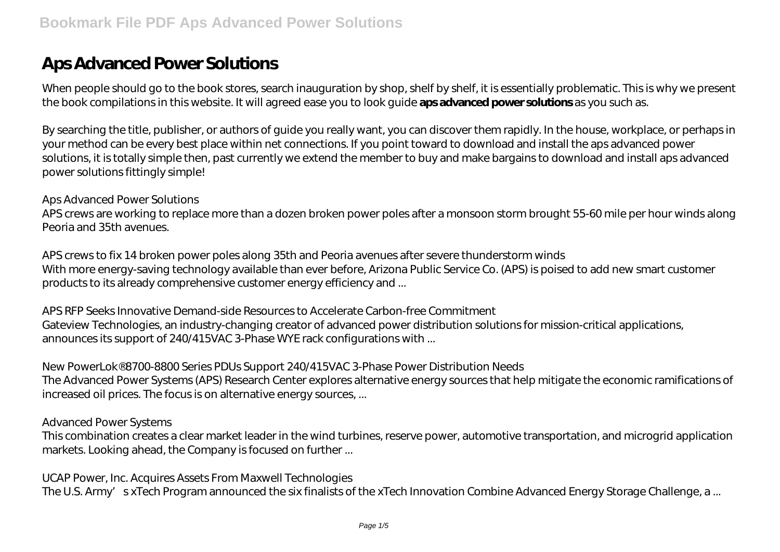# **Aps Advanced Power Solutions**

When people should go to the book stores, search inauguration by shop, shelf by shelf, it is essentially problematic. This is why we present the book compilations in this website. It will agreed ease you to look guide **aps advanced power solutions** as you such as.

By searching the title, publisher, or authors of guide you really want, you can discover them rapidly. In the house, workplace, or perhaps in your method can be every best place within net connections. If you point toward to download and install the aps advanced power solutions, it is totally simple then, past currently we extend the member to buy and make bargains to download and install aps advanced power solutions fittingly simple!

#### *Aps Advanced Power Solutions*

APS crews are working to replace more than a dozen broken power poles after a monsoon storm brought 55-60 mile per hour winds along Peoria and 35th avenues.

*APS crews to fix 14 broken power poles along 35th and Peoria avenues after severe thunderstorm winds* With more energy-saving technology available than ever before, Arizona Public Service Co. (APS) is poised to add new smart customer products to its already comprehensive customer energy efficiency and ...

*APS RFP Seeks Innovative Demand-side Resources to Accelerate Carbon-free Commitment* Gateview Technologies, an industry-changing creator of advanced power distribution solutions for mission-critical applications, announces its support of 240/415VAC 3-Phase WYE rack configurations with ...

#### *New PowerLok® 8700-8800 Series PDUs Support 240/415VAC 3-Phase Power Distribution Needs*

The Advanced Power Systems (APS) Research Center explores alternative energy sources that help mitigate the economic ramifications of increased oil prices. The focus is on alternative energy sources, ...

#### *Advanced Power Systems*

This combination creates a clear market leader in the wind turbines, reserve power, automotive transportation, and microgrid application markets. Looking ahead, the Company is focused on further ...

#### *UCAP Power, Inc. Acquires Assets From Maxwell Technologies*

The U.S. Army's xTech Program announced the six finalists of the xTech Innovation Combine Advanced Energy Storage Challenge, a ...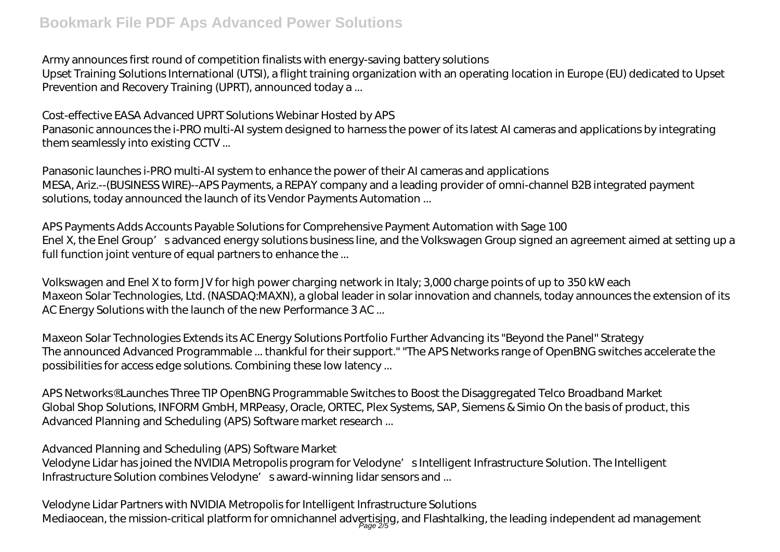#### *Army announces first round of competition finalists with energy-saving battery solutions*

Upset Training Solutions International (UTSI), a flight training organization with an operating location in Europe (EU) dedicated to Upset Prevention and Recovery Training (UPRT), announced today a ...

#### *Cost-effective EASA Advanced UPRT Solutions Webinar Hosted by APS*

Panasonic announces the i-PRO multi-AI system designed to harness the power of its latest AI cameras and applications by integrating them seamlessly into existing CCTV ...

*Panasonic launches i-PRO multi-AI system to enhance the power of their AI cameras and applications* MESA, Ariz.--(BUSINESS WIRE)--APS Payments, a REPAY company and a leading provider of omni-channel B2B integrated payment solutions, today announced the launch of its Vendor Payments Automation ...

*APS Payments Adds Accounts Payable Solutions for Comprehensive Payment Automation with Sage 100* Enel X, the Enel Group's advanced energy solutions business line, and the Volkswagen Group signed an agreement aimed at setting up a full function joint venture of equal partners to enhance the ...

*Volkswagen and Enel X to form JV for high power charging network in Italy; 3,000 charge points of up to 350 kW each* Maxeon Solar Technologies, Ltd. (NASDAQ:MAXN), a global leader in solar innovation and channels, today announces the extension of its AC Energy Solutions with the launch of the new Performance 3 AC ...

*Maxeon Solar Technologies Extends its AC Energy Solutions Portfolio Further Advancing its "Beyond the Panel" Strategy* The announced Advanced Programmable ... thankful for their support." "The APS Networks range of OpenBNG switches accelerate the possibilities for access edge solutions. Combining these low latency ...

*APS Networks® Launches Three TIP OpenBNG Programmable Switches to Boost the Disaggregated Telco Broadband Market* Global Shop Solutions, INFORM GmbH, MRPeasy, Oracle, ORTEC, Plex Systems, SAP, Siemens & Simio On the basis of product, this Advanced Planning and Scheduling (APS) Software market research ...

## *Advanced Planning and Scheduling (APS) Software Market*

Velodyne Lidar has joined the NVIDIA Metropolis program for Velodyne's Intelligent Infrastructure Solution. The Intelligent Infrastructure Solution combines Velodyne's award-winning lidar sensors and ...

## *Velodyne Lidar Partners with NVIDIA Metropolis for Intelligent Infrastructure Solutions*

Mediaocean, the mission-critical platform for omnichannel advertising, and Flashtalking, the leading independent ad management<br>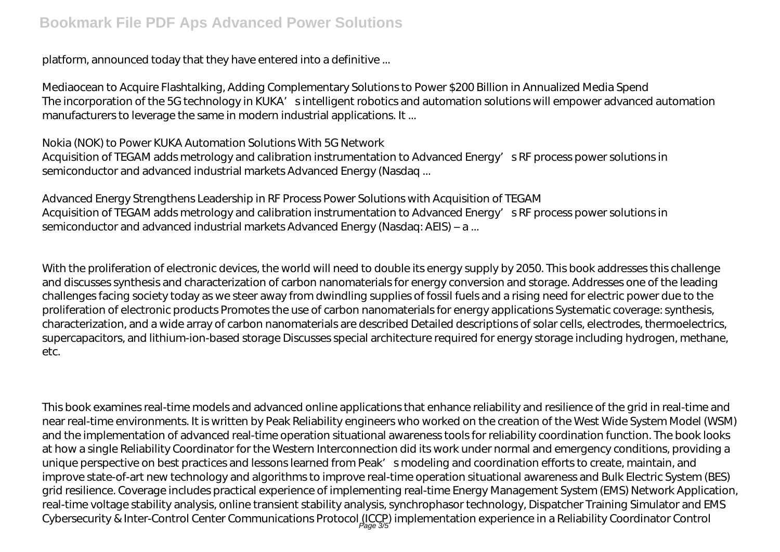platform, announced today that they have entered into a definitive ...

*Mediaocean to Acquire Flashtalking, Adding Complementary Solutions to Power \$200 Billion in Annualized Media Spend* The incorporation of the 5G technology in KUKA's intelligent robotics and automation solutions will empower advanced automation manufacturers to leverage the same in modern industrial applications. It ...

#### *Nokia (NOK) to Power KUKA Automation Solutions With 5G Network*

Acquisition of TEGAM adds metrology and calibration instrumentation to Advanced Energy's RF process power solutions in semiconductor and advanced industrial markets Advanced Energy (Nasdaq ...

## *Advanced Energy Strengthens Leadership in RF Process Power Solutions with Acquisition of TEGAM*

Acquisition of TEGAM adds metrology and calibration instrumentation to Advanced Energy's RF process power solutions in semiconductor and advanced industrial markets Advanced Energy (Nasdaq: AEIS) – a ...

With the proliferation of electronic devices, the world will need to double its energy supply by 2050. This book addresses this challenge and discusses synthesis and characterization of carbon nanomaterials for energy conversion and storage. Addresses one of the leading challenges facing society today as we steer away from dwindling supplies of fossil fuels and a rising need for electric power due to the proliferation of electronic products Promotes the use of carbon nanomaterials for energy applications Systematic coverage: synthesis, characterization, and a wide array of carbon nanomaterials are described Detailed descriptions of solar cells, electrodes, thermoelectrics, supercapacitors, and lithium-ion-based storage Discusses special architecture required for energy storage including hydrogen, methane, etc.

This book examines real-time models and advanced online applications that enhance reliability and resilience of the grid in real-time and near real-time environments. It is written by Peak Reliability engineers who worked on the creation of the West Wide System Model (WSM) and the implementation of advanced real-time operation situational awareness tools for reliability coordination function. The book looks at how a single Reliability Coordinator for the Western Interconnection did its work under normal and emergency conditions, providing a unique perspective on best practices and lessons learned from Peak's modeling and coordination efforts to create, maintain, and improve state-of-art new technology and algorithms to improve real-time operation situational awareness and Bulk Electric System (BES) grid resilience. Coverage includes practical experience of implementing real-time Energy Management System (EMS) Network Application, real-time voltage stability analysis, online transient stability analysis, synchrophasor technology, Dispatcher Training Simulator and EMS Cybersecurity & Inter-Control Center Communications Protocol (ICCP) implementation experience in a Reliability Coordinator Control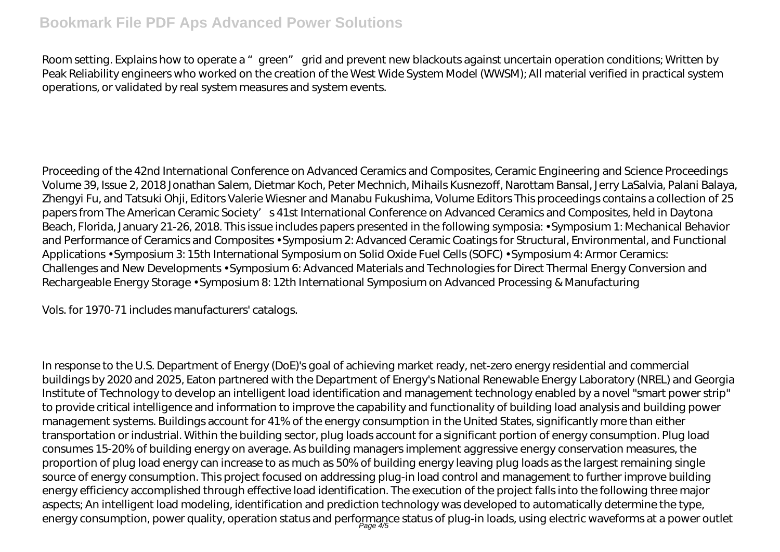# **Bookmark File PDF Aps Advanced Power Solutions**

Room setting. Explains how to operate a "green" grid and prevent new blackouts against uncertain operation conditions; Written by Peak Reliability engineers who worked on the creation of the West Wide System Model (WWSM); All material verified in practical system operations, or validated by real system measures and system events.

Proceeding of the 42nd International Conference on Advanced Ceramics and Composites, Ceramic Engineering and Science Proceedings Volume 39, Issue 2, 2018 Jonathan Salem, Dietmar Koch, Peter Mechnich, Mihails Kusnezoff, Narottam Bansal, Jerry LaSalvia, Palani Balaya, Zhengyi Fu, and Tatsuki Ohji, Editors Valerie Wiesner and Manabu Fukushima, Volume Editors This proceedings contains a collection of 25 papers from The American Ceramic Society's 41st International Conference on Advanced Ceramics and Composites, held in Daytona Beach, Florida, January 21-26, 2018. This issue includes papers presented in the following symposia: • Symposium 1: Mechanical Behavior and Performance of Ceramics and Composites • Symposium 2: Advanced Ceramic Coatings for Structural, Environmental, and Functional Applications • Symposium 3: 15th International Symposium on Solid Oxide Fuel Cells (SOFC) • Symposium 4: Armor Ceramics: Challenges and New Developments • Symposium 6: Advanced Materials and Technologies for Direct Thermal Energy Conversion and Rechargeable Energy Storage • Symposium 8: 12th International Symposium on Advanced Processing & Manufacturing

Vols. for 1970-71 includes manufacturers' catalogs.

In response to the U.S. Department of Energy (DoE)'s goal of achieving market ready, net-zero energy residential and commercial buildings by 2020 and 2025, Eaton partnered with the Department of Energy's National Renewable Energy Laboratory (NREL) and Georgia Institute of Technology to develop an intelligent load identification and management technology enabled by a novel "smart power strip" to provide critical intelligence and information to improve the capability and functionality of building load analysis and building power management systems. Buildings account for 41% of the energy consumption in the United States, significantly more than either transportation or industrial. Within the building sector, plug loads account for a significant portion of energy consumption. Plug load consumes 15-20% of building energy on average. As building managers implement aggressive energy conservation measures, the proportion of plug load energy can increase to as much as 50% of building energy leaving plug loads as the largest remaining single source of energy consumption. This project focused on addressing plug-in load control and management to further improve building energy efficiency accomplished through effective load identification. The execution of the project falls into the following three major aspects; An intelligent load modeling, identification and prediction technology was developed to automatically determine the type, energy consumption, power quality, operation status and performance status of plug-in loads, using electric waveforms at a power outlet<br>